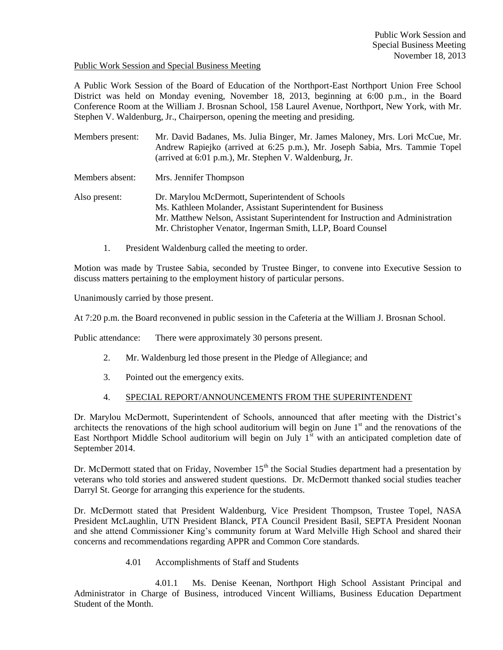# Public Work Session and Special Business Meeting

A Public Work Session of the Board of Education of the Northport-East Northport Union Free School District was held on Monday evening, November 18, 2013, beginning at 6:00 p.m., in the Board Conference Room at the William J. Brosnan School, 158 Laurel Avenue, Northport, New York, with Mr. Stephen V. Waldenburg, Jr., Chairperson, opening the meeting and presiding.

| Members present: | Mr. David Badanes, Ms. Julia Binger, Mr. James Maloney, Mrs. Lori McCue, Mr.<br>Andrew Rapiejko (arrived at 6:25 p.m.), Mr. Joseph Sabia, Mrs. Tammie Topel<br>(arrived at 6:01 p.m.), Mr. Stephen V. Waldenburg, Jr.                                              |
|------------------|--------------------------------------------------------------------------------------------------------------------------------------------------------------------------------------------------------------------------------------------------------------------|
| Members absent:  | Mrs. Jennifer Thompson                                                                                                                                                                                                                                             |
| Also present:    | Dr. Marylou McDermott, Superintendent of Schools<br>Ms. Kathleen Molander, Assistant Superintendent for Business<br>Mr. Matthew Nelson, Assistant Superintendent for Instruction and Administration<br>Mr. Christopher Venator, Ingerman Smith, LLP, Board Counsel |

1. President Waldenburg called the meeting to order.

Motion was made by Trustee Sabia, seconded by Trustee Binger, to convene into Executive Session to discuss matters pertaining to the employment history of particular persons.

Unanimously carried by those present.

At 7:20 p.m. the Board reconvened in public session in the Cafeteria at the William J. Brosnan School.

Public attendance: There were approximately 30 persons present.

- 2. Mr. Waldenburg led those present in the Pledge of Allegiance; and
- 3. Pointed out the emergency exits.

# 4. SPECIAL REPORT/ANNOUNCEMENTS FROM THE SUPERINTENDENT

Dr. Marylou McDermott, Superintendent of Schools, announced that after meeting with the District's architects the renovations of the high school auditorium will begin on June  $1<sup>st</sup>$  and the renovations of the East Northport Middle School auditorium will begin on July  $1<sup>st</sup>$  with an anticipated completion date of September 2014.

Dr. McDermott stated that on Friday, November  $15<sup>th</sup>$  the Social Studies department had a presentation by veterans who told stories and answered student questions. Dr. McDermott thanked social studies teacher Darryl St. George for arranging this experience for the students.

Dr. McDermott stated that President Waldenburg, Vice President Thompson, Trustee Topel, NASA President McLaughlin, UTN President Blanck, PTA Council President Basil, SEPTA President Noonan and she attend Commissioner King's community forum at Ward Melville High School and shared their concerns and recommendations regarding APPR and Common Core standards.

4.01 Accomplishments of Staff and Students

4.01.1 Ms. Denise Keenan, Northport High School Assistant Principal and Administrator in Charge of Business, introduced Vincent Williams, Business Education Department Student of the Month.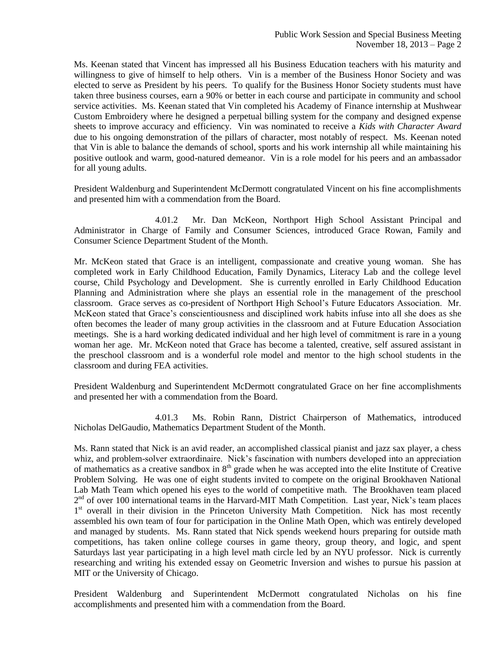Ms. Keenan stated that Vincent has impressed all his Business Education teachers with his maturity and willingness to give of himself to help others. Vin is a member of the Business Honor Society and was elected to serve as President by his peers. To qualify for the Business Honor Society students must have taken three business courses, earn a 90% or better in each course and participate in community and school service activities. Ms. Keenan stated that Vin completed his Academy of Finance internship at Mushwear Custom Embroidery where he designed a perpetual billing system for the company and designed expense sheets to improve accuracy and efficiency. Vin was nominated to receive a *Kids with Character Award* due to his ongoing demonstration of the pillars of character, most notably of respect. Ms. Keenan noted that Vin is able to balance the demands of school, sports and his work internship all while maintaining his positive outlook and warm, good-natured demeanor. Vin is a role model for his peers and an ambassador for all young adults.

President Waldenburg and Superintendent McDermott congratulated Vincent on his fine accomplishments and presented him with a commendation from the Board.

4.01.2 Mr. Dan McKeon, Northport High School Assistant Principal and Administrator in Charge of Family and Consumer Sciences, introduced Grace Rowan, Family and Consumer Science Department Student of the Month.

Mr. McKeon stated that Grace is an intelligent, compassionate and creative young woman. She has completed work in Early Childhood Education, Family Dynamics, Literacy Lab and the college level course, Child Psychology and Development. She is currently enrolled in Early Childhood Education Planning and Administration where she plays an essential role in the management of the preschool classroom. Grace serves as co-president of Northport High School's Future Educators Association. Mr. McKeon stated that Grace's conscientiousness and disciplined work habits infuse into all she does as she often becomes the leader of many group activities in the classroom and at Future Education Association meetings. She is a hard working dedicated individual and her high level of commitment is rare in a young woman her age. Mr. McKeon noted that Grace has become a talented, creative, self assured assistant in the preschool classroom and is a wonderful role model and mentor to the high school students in the classroom and during FEA activities.

President Waldenburg and Superintendent McDermott congratulated Grace on her fine accomplishments and presented her with a commendation from the Board.

4.01.3 Ms. Robin Rann, District Chairperson of Mathematics, introduced Nicholas DelGaudio, Mathematics Department Student of the Month.

Ms. Rann stated that Nick is an avid reader, an accomplished classical pianist and jazz sax player, a chess whiz, and problem-solver extraordinaire. Nick's fascination with numbers developed into an appreciation of mathematics as a creative sandbox in  $8<sup>th</sup>$  grade when he was accepted into the elite Institute of Creative Problem Solving. He was one of eight students invited to compete on the original Brookhaven National Lab Math Team which opened his eyes to the world of competitive math. The Brookhaven team placed 2<sup>nd</sup> of over 100 international teams in the Harvard-MIT Math Competition. Last year, Nick's team places 1<sup>st</sup> overall in their division in the Princeton University Math Competition. Nick has most recently assembled his own team of four for participation in the Online Math Open, which was entirely developed and managed by students. Ms. Rann stated that Nick spends weekend hours preparing for outside math competitions, has taken online college courses in game theory, group theory, and logic, and spent Saturdays last year participating in a high level math circle led by an NYU professor. Nick is currently researching and writing his extended essay on Geometric Inversion and wishes to pursue his passion at MIT or the University of Chicago.

President Waldenburg and Superintendent McDermott congratulated Nicholas on his fine accomplishments and presented him with a commendation from the Board.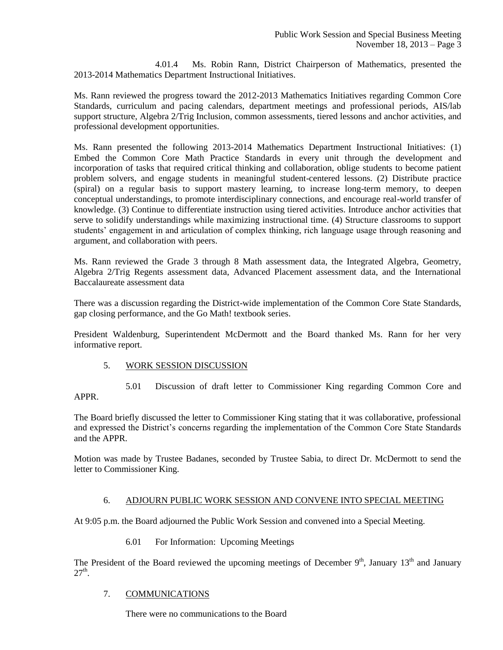4.01.4 Ms. Robin Rann, District Chairperson of Mathematics, presented the 2013-2014 Mathematics Department Instructional Initiatives.

Ms. Rann reviewed the progress toward the 2012-2013 Mathematics Initiatives regarding Common Core Standards, curriculum and pacing calendars, department meetings and professional periods, AIS/lab support structure, Algebra 2/Trig Inclusion, common assessments, tiered lessons and anchor activities, and professional development opportunities.

Ms. Rann presented the following 2013-2014 Mathematics Department Instructional Initiatives: (1) Embed the Common Core Math Practice Standards in every unit through the development and incorporation of tasks that required critical thinking and collaboration, oblige students to become patient problem solvers, and engage students in meaningful student-centered lessons. (2) Distribute practice (spiral) on a regular basis to support mastery learning, to increase long-term memory, to deepen conceptual understandings, to promote interdisciplinary connections, and encourage real-world transfer of knowledge. (3) Continue to differentiate instruction using tiered activities. Introduce anchor activities that serve to solidify understandings while maximizing instructional time. (4) Structure classrooms to support students' engagement in and articulation of complex thinking, rich language usage through reasoning and argument, and collaboration with peers.

Ms. Rann reviewed the Grade 3 through 8 Math assessment data, the Integrated Algebra, Geometry, Algebra 2/Trig Regents assessment data, Advanced Placement assessment data, and the International Baccalaureate assessment data

There was a discussion regarding the District-wide implementation of the Common Core State Standards, gap closing performance, and the Go Math! textbook series.

President Waldenburg, Superintendent McDermott and the Board thanked Ms. Rann for her very informative report.

# 5. WORK SESSION DISCUSSION

5.01 Discussion of draft letter to Commissioner King regarding Common Core and APPR.

The Board briefly discussed the letter to Commissioner King stating that it was collaborative, professional and expressed the District's concerns regarding the implementation of the Common Core State Standards and the APPR.

Motion was made by Trustee Badanes, seconded by Trustee Sabia, to direct Dr. McDermott to send the letter to Commissioner King.

# 6. ADJOURN PUBLIC WORK SESSION AND CONVENE INTO SPECIAL MEETING

At 9:05 p.m. the Board adjourned the Public Work Session and convened into a Special Meeting.

6.01 For Information: Upcoming Meetings

The President of the Board reviewed the upcoming meetings of December  $9<sup>th</sup>$ , January  $13<sup>th</sup>$  and January  $27<sup>th</sup>$ .

# 7. COMMUNICATIONS

There were no communications to the Board